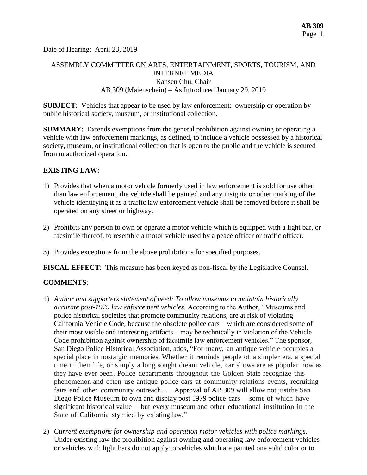Date of Hearing: April 23, 2019

# ASSEMBLY COMMITTEE ON ARTS, ENTERTAINMENT, SPORTS, TOURISM, AND INTERNET MEDIA Kansen Chu, Chair AB 309 (Maienschein) – As Introduced January 29, 2019

**SUBJECT**: Vehicles that appear to be used by law enforcement: ownership or operation by public historical society, museum, or institutional collection.

**SUMMARY**: Extends exemptions from the general prohibition against owning or operating a vehicle with law enforcement markings, as defined, to include a vehicle possessed by a historical society, museum, or institutional collection that is open to the public and the vehicle is secured from unauthorized operation.

## **EXISTING LAW**:

- 1) Provides that when a motor vehicle formerly used in law enforcement is sold for use other than law enforcement, the vehicle shall be painted and any insignia or other marking of the vehicle identifying it as a traffic law enforcement vehicle shall be removed before it shall be operated on any street or highway.
- 2) Prohibits any person to own or operate a motor vehicle which is equipped with a light bar, or facsimile thereof, to resemble a motor vehicle used by a peace officer or traffic officer.
- 3) Provides exceptions from the above prohibitions for specified purposes.

**FISCAL EFFECT**: This measure has been keyed as non-fiscal by the Legislative Counsel.

# **COMMENTS**:

- 1) *Author and supporters statement of need: To allow museums to maintain historically accurate post-1979 law enforcement vehicles.* According to the Author, "Museums and police historical societies that promote community relations, are at risk of violating California Vehicle Code, because the obsolete police cars – which are considered some of their most visible and interesting artifacts – may be technically in violation of the Vehicle Code prohibition against ownership of facsimile law enforcement vehicles." The sponsor, San Diego Police Historical Association, adds, "For many, an antique vehicle occupies a special place in nostalgic memories. Whether it reminds people of a simpler era, a special time in their life, or simply a long sought dream vehicle, car shows are as popular now as they have ever been . Police departments throughout the Golden State recognize this phenomenon and often use antique police cars at community relations events, recruiting fairs and other community outreach. … Approval of AB 309 will allow not justthe San Diego Police Museum to own and display post 1979 police cars – some of which have significant historical value – but every museum and other educational institution in the State of California stymied by existing law."
- 2) *Current exemptions for ownership and operation motor vehicles with police markings.*  Under existing law the prohibition against owning and operating law enforcement vehicles or vehicles with light bars do not apply to vehicles which are painted one solid color or to